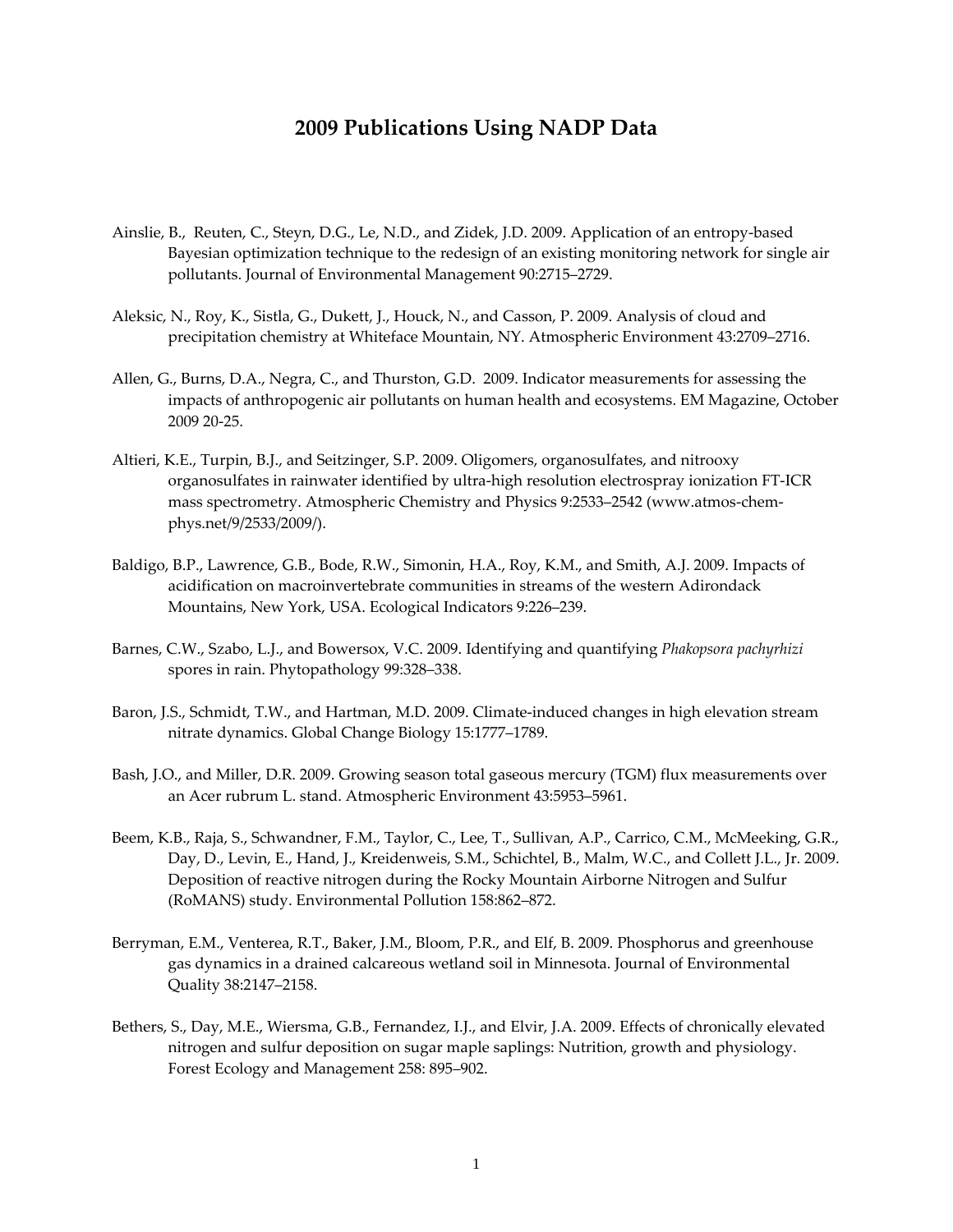## **2009 Publications Using NADP Data**

- Ainslie, B., Reuten, C., Steyn, D.G., Le, N.D., and Zidek, J.D. 2009. Application of an entropy‐based Bayesian optimization technique to the redesign of an existing monitoring network for single air pollutants. Journal of Environmental Management 90:2715–2729.
- Aleksic, N., Roy, K., Sistla, G., Dukett, J., Houck, N., and Casson, P. 2009. Analysis of cloud and precipitation chemistry at Whiteface Mountain, NY. Atmospheric Environment 43:2709–2716.
- Allen, G., Burns, D.A., Negra, C., and Thurston, G.D. 2009. Indicator measurements for assessing the impacts of anthropogenic air pollutants on human health and ecosystems. EM Magazine, October 2009 20‐25.
- Altieri, K.E., Turpin, B.J., and Seitzinger, S.P. 2009. Oligomers, organosulfates, and nitrooxy organosulfates in rainwater identified by ultra‐high resolution electrospray ionization FT‐ICR mass spectrometry. Atmospheric Chemistry and Physics 9:2533-2542 (www.atmos-chemphys.net/9/2533/2009/).
- Baldigo, B.P., Lawrence, G.B., Bode, R.W., Simonin, H.A., Roy, K.M., and Smith, A.J. 2009. Impacts of acidification on macroinvertebrate communities in streams of the western Adirondack Mountains, New York, USA. Ecological Indicators 9:226–239.
- Barnes, C.W., Szabo, L.J., and Bowersox, V.C. 2009. Identifying and quantifying *Phakopsora pachyrhizi* spores in rain. Phytopathology 99:328–338.
- Baron, J.S., Schmidt, T.W., and Hartman, M.D. 2009. Climate‐induced changes in high elevation stream nitrate dynamics. Global Change Biology 15:1777–1789.
- Bash, J.O., and Miller, D.R. 2009. Growing season total gaseous mercury (TGM) flux measurements over an Acer rubrum L. stand. Atmospheric Environment 43:5953–5961.
- Beem, K.B., Raja, S., Schwandner, F.M., Taylor, C., Lee, T., Sullivan, A.P., Carrico, C.M., McMeeking, G.R., Day, D., Levin, E., Hand, J., Kreidenweis, S.M., Schichtel, B., Malm, W.C., and Collett J.L., Jr. 2009. Deposition of reactive nitrogen during the Rocky Mountain Airborne Nitrogen and Sulfur (RoMANS) study. Environmental Pollution 158:862–872.
- Berryman, E.M., Venterea, R.T., Baker, J.M., Bloom, P.R., and Elf, B. 2009. Phosphorus and greenhouse gas dynamics in a drained calcareous wetland soil in Minnesota. Journal of Environmental Quality 38:2147–2158.
- Bethers, S., Day, M.E., Wiersma, G.B., Fernandez, I.J., and Elvir, J.A. 2009. Effects of chronically elevated nitrogen and sulfur deposition on sugar maple saplings: Nutrition, growth and physiology. Forest Ecology and Management 258: 895–902.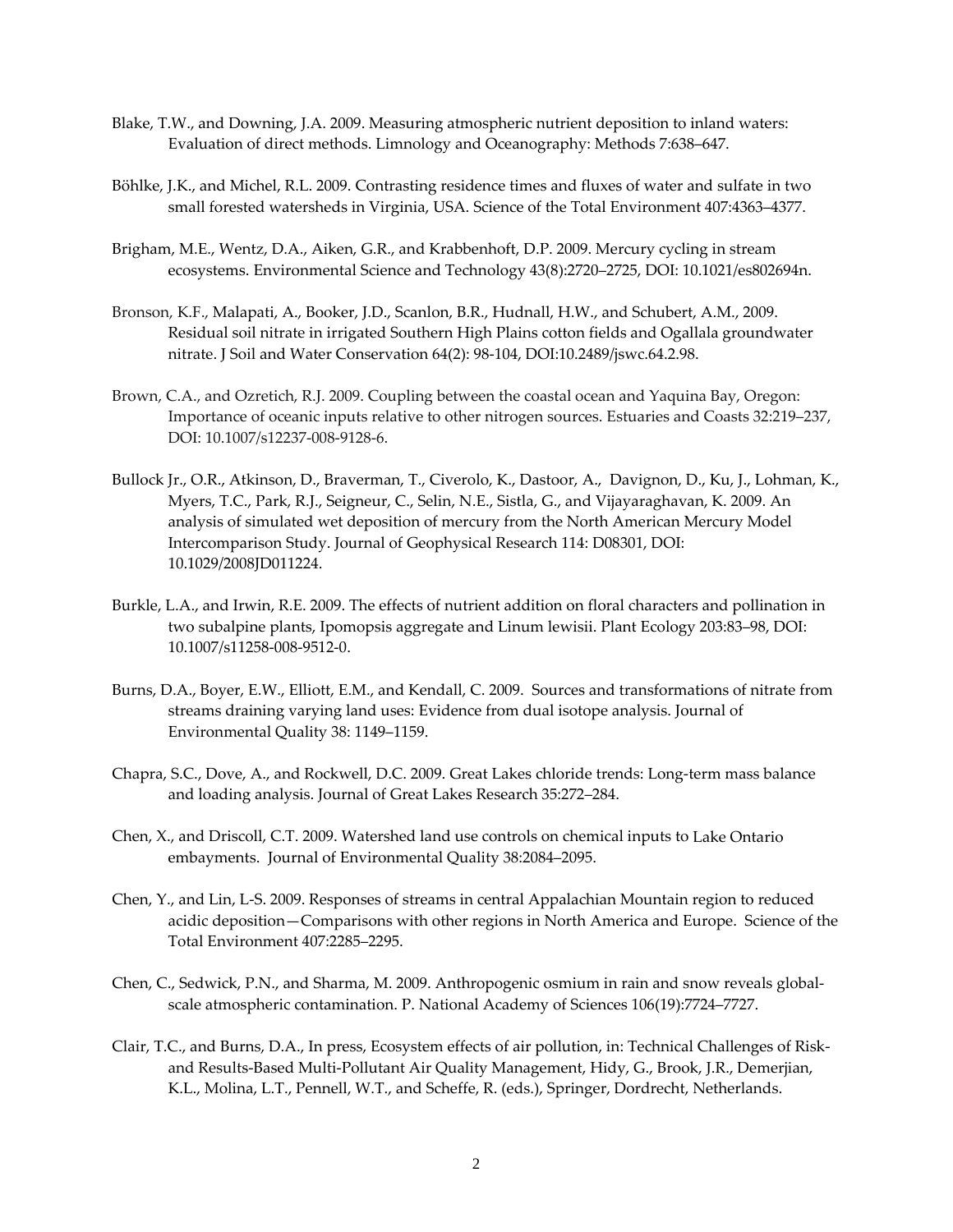- Blake, T.W., and Downing, J.A. 2009. Measuring atmospheric nutrient deposition to inland waters: Evaluation of direct methods. Limnology and Oceanography: Methods 7:638–647.
- Böhlke, J.K., and Michel, R.L. 2009. Contrasting residence times and fluxes of water and sulfate in two small forested watersheds in Virginia, USA. Science of the Total Environment 407:4363–4377.
- Brigham, M.E., Wentz, D.A., Aiken, G.R., and Krabbenhoft, D.P. 2009. Mercury cycling in stream ecosystems. Environmental Science and Technology 43(8):2720–2725, DOI: 10.1021/es802694n.
- Bronson, K.F., Malapati, A., Booker, J.D., Scanlon, B.R., Hudnall, H.W., and Schubert, A.M., 2009. Residual soil nitrate in irrigated Southern High Plains cotton fields and Ogallala groundwater nitrate. J Soil and Water Conservation 64(2): 98‐104, DOI:10.2489/jswc.64.2.98.
- Brown, C.A., and Ozretich, R.J. 2009. Coupling between the coastal ocean and Yaquina Bay, Oregon: Importance of oceanic inputs relative to other nitrogen sources. Estuaries and Coasts 32:219–237, DOI: 10.1007/s12237‐008‐9128‐6.
- Bullock Jr., O.R., Atkinson, D., Braverman, T., Civerolo, K., Dastoor, A., Davignon, D., Ku, J., Lohman, K., Myers, T.C., Park, R.J., Seigneur, C., Selin, N.E., Sistla, G., and Vijayaraghavan, K. 2009. An analysis of simulated wet deposition of mercury from the North American Mercury Model Intercomparison Study. Journal of Geophysical Research 114: D08301, DOI: 10.1029/2008JD011224.
- Burkle, L.A., and Irwin, R.E. 2009. The effects of nutrient addition on floral characters and pollination in two subalpine plants, Ipomopsis aggregate and Linum lewisii. Plant Ecology 203:83–98, DOI: 10.1007/s11258‐008‐9512‐0.
- Burns, D.A., Boyer, E.W., Elliott, E.M., and Kendall, C. 2009. Sources and transformations of nitrate from streams draining varying land uses: Evidence from dual isotope analysis. Journal of Environmental Quality 38: 1149–1159.
- Chapra, S.C., Dove, A., and Rockwell, D.C. 2009. Great Lakes chloride trends: Long‐term mass balance and loading analysis. Journal of Great Lakes Research 35:272–284.
- Chen, X., and Driscoll, C.T. 2009. Watershed land use controls on chemical inputs to Lake Ontario embayments. Journal of Environmental Quality 38:2084–2095.
- Chen, Y., and Lin, L‐S. 2009. Responses of streams in central Appalachian Mountain region to reduced acidic deposition—Comparisons with other regions in North America and Europe. Science of the Total Environment 407:2285–2295.
- Chen, C., Sedwick, P.N., and Sharma, M. 2009. Anthropogenic osmium in rain and snow reveals globalscale atmospheric contamination. P. National Academy of Sciences 106(19):7724–7727.
- Clair, T.C., and Burns, D.A., In press, Ecosystem effects of air pollution, in: Technical Challenges of Risk‐ and Results‐Based Multi‐Pollutant Air Quality Management, Hidy, G., Brook, J.R., Demerjian, K.L., Molina, L.T., Pennell, W.T., and Scheffe, R. (eds.), Springer, Dordrecht, Netherlands.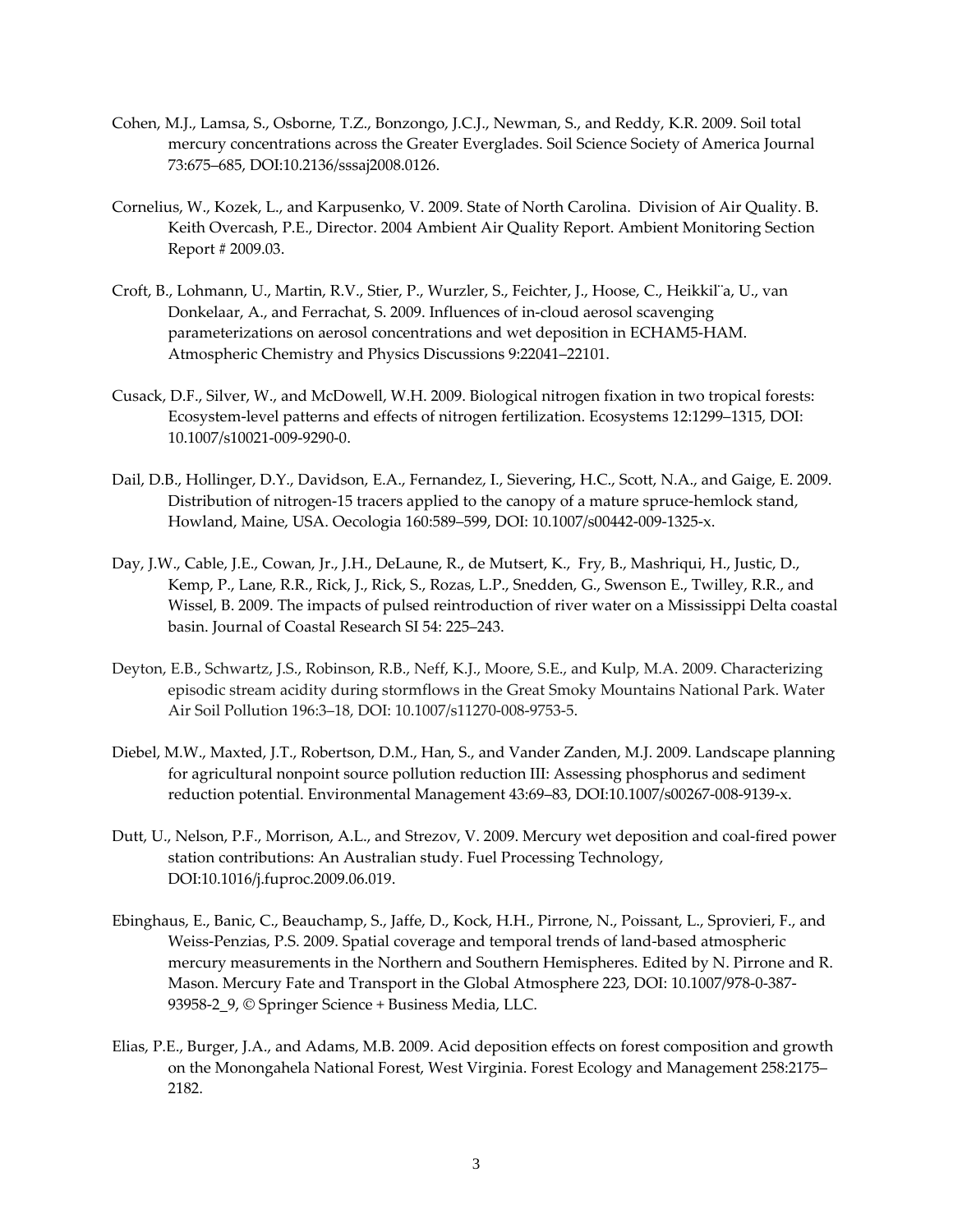- Cohen, M.J., Lamsa, S., Osborne, T.Z., Bonzongo, J.C.J., Newman, S., and Reddy, K.R. 2009. Soil total mercury concentrations across the Greater Everglades. Soil Science Society of America Journal 73:675–685, DOI:10.2136/sssaj2008.0126.
- Cornelius, W., Kozek, L., and Karpusenko, V. 2009. State of North Carolina. Division of Air Quality. B. Keith Overcash, P.E., Director. 2004 Ambient Air Quality Report. Ambient Monitoring Section Report # 2009.03.
- Croft, B., Lohmann, U., Martin, R.V., Stier, P., Wurzler, S., Feichter, J., Hoose, C., Heikkil¨a, U., van Donkelaar, A., and Ferrachat, S. 2009. Influences of in‐cloud aerosol scavenging parameterizations on aerosol concentrations and wet deposition in ECHAM5‐HAM. Atmospheric Chemistry and Physics Discussions 9:22041–22101.
- Cusack, D.F., Silver, W., and McDowell, W.H. 2009. Biological nitrogen fixation in two tropical forests: Ecosystem‐level patterns and effects of nitrogen fertilization. Ecosystems 12:1299–1315, DOI: 10.1007/s10021‐009‐9290‐0.
- Dail, D.B., Hollinger, D.Y., Davidson, E.A., Fernandez, I., Sievering, H.C., Scott, N.A., and Gaige, E. 2009. Distribution of nitrogen-15 tracers applied to the canopy of a mature spruce-hemlock stand, Howland, Maine, USA. Oecologia 160:589–599, DOI: 10.1007/s00442‐009‐1325‐x.
- Day, J.W., Cable, J.E., Cowan, Jr., J.H., DeLaune, R., de Mutsert, K., Fry, B., Mashriqui, H., Justic, D., Kemp, P., Lane, R.R., Rick, J., Rick, S., Rozas, L.P., Snedden, G., Swenson E., Twilley, R.R., and Wissel, B. 2009. The impacts of pulsed reintroduction of river water on a Mississippi Delta coastal basin. Journal of Coastal Research SI 54: 225–243.
- Deyton, E.B., Schwartz, J.S., Robinson, R.B., Neff, K.J., Moore, S.E., and Kulp, M.A. 2009. Characterizing episodic stream acidity during stormflows in the Great Smoky Mountains National Park. Water Air Soil Pollution 196:3–18, DOI: 10.1007/s11270‐008‐9753‐5.
- Diebel, M.W., Maxted, J.T., Robertson, D.M., Han, S., and Vander Zanden, M.J. 2009. Landscape planning for agricultural nonpoint source pollution reduction III: Assessing phosphorus and sediment reduction potential. Environmental Management 43:69–83, DOI:10.1007/s00267‐008‐9139‐x.
- Dutt, U., Nelson, P.F., Morrison, A.L., and Strezov, V. 2009. Mercury wet deposition and coal‐fired power station contributions: An Australian study. Fuel Processing Technology, DOI:10.1016/j.fuproc.2009.06.019.
- Ebinghaus, E., Banic, C., Beauchamp, S., Jaffe, D., Kock, H.H., Pirrone, N., Poissant, L., Sprovieri, F., and Weiss‐Penzias, P.S. 2009. Spatial coverage and temporal trends of land‐based atmospheric mercury measurements in the Northern and Southern Hemispheres. Edited by N. Pirrone and R. Mason. Mercury Fate and Transport in the Global Atmosphere 223, DOI: 10.1007/978‐0‐387‐ 93958‐2\_9, © Springer Science + Business Media, LLC.
- Elias, P.E., Burger, J.A., and Adams, M.B. 2009. Acid deposition effects on forest composition and growth on the Monongahela National Forest, West Virginia. Forest Ecology and Management 258:2175– 2182.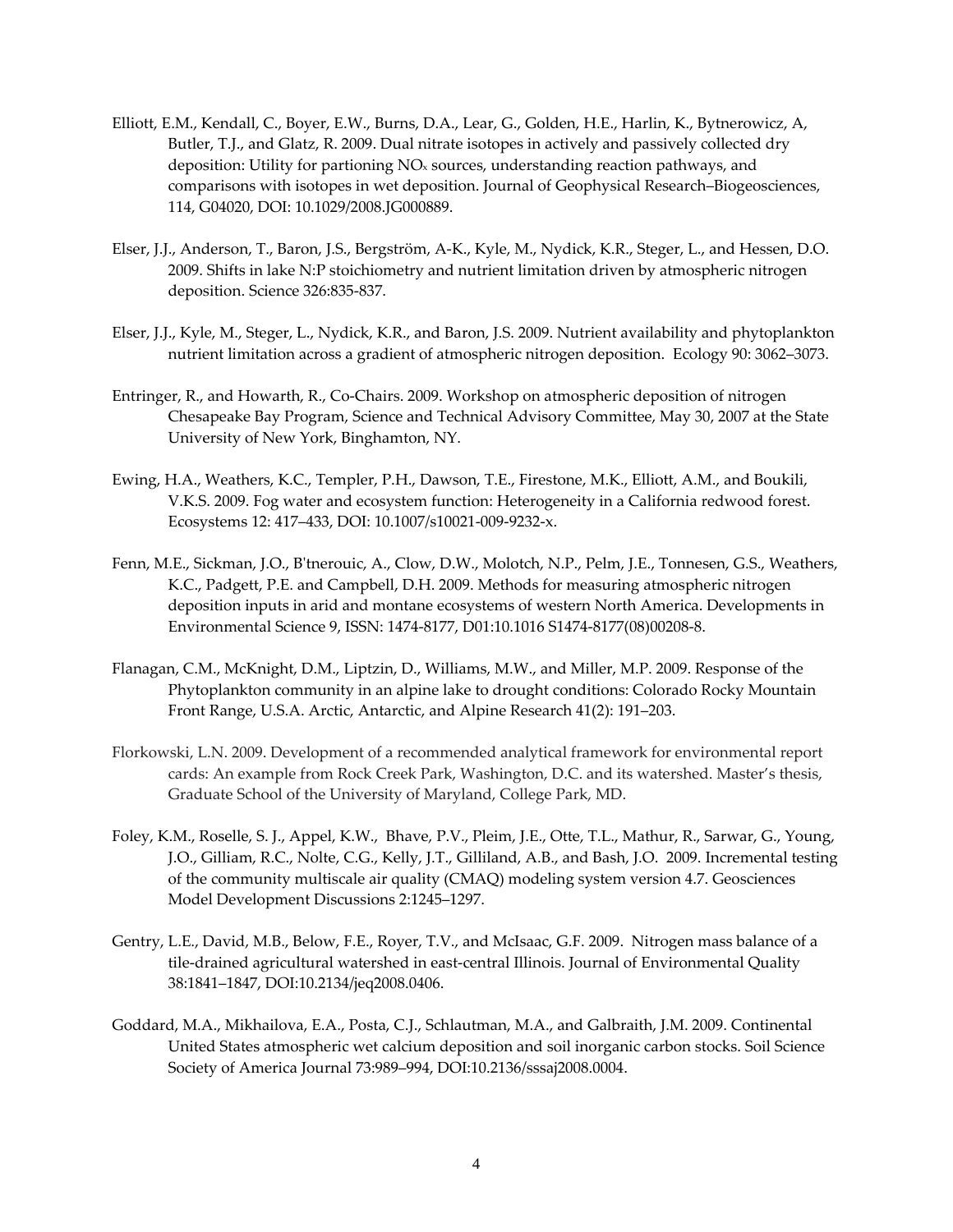- Elliott, E.M., Kendall, C., Boyer, E.W., Burns, D.A., Lear, G., Golden, H.E., Harlin, K., Bytnerowicz, A, Butler, T.J., and Glatz, R. 2009. Dual nitrate isotopes in actively and passively collected dry deposition: Utility for partioning NOx sources, understanding reaction pathways, and comparisons with isotopes in wet deposition. Journal of Geophysical Research–Biogeosciences, 114, G04020, DOI: 10.1029/2008.JG000889.
- Elser, J.J., Anderson, T., Baron, J.S., Bergström, A‐K., Kyle, M., Nydick, K.R., Steger, L., and Hessen, D.O. 2009. Shifts in lake N:P stoichiometry and nutrient limitation driven by atmospheric nitrogen deposition. Science 326:835‐837.
- Elser, J.J., Kyle, M., Steger, L., Nydick, K.R., and Baron, J.S. 2009. Nutrient availability and phytoplankton nutrient limitation across a gradient of atmospheric nitrogen deposition. Ecology 90: 3062–3073.
- Entringer, R., and Howarth, R., Co-Chairs. 2009. Workshop on atmospheric deposition of nitrogen Chesapeake Bay Program, Science and Technical Advisory Committee, May 30, 2007 at the State University of New York, Binghamton, NY.
- Ewing, H.A., Weathers, K.C., Templer, P.H., Dawson, T.E., Firestone, M.K., Elliott, A.M., and Boukili, V.K.S. 2009. Fog water and ecosystem function: Heterogeneity in a California redwood forest. Ecosystems 12: 417–433, DOI: 10.1007/s10021‐009‐9232‐x.
- Fenn, M.E., Sickman, J.O., B'tnerouic, A., Clow, D.W., Molotch, N.P., Pelm, J.E., Tonnesen, G.S., Weathers, K.C., Padgett, P.E. and Campbell, D.H. 2009. Methods for measuring atmospheric nitrogen deposition inputs in arid and montane ecosystems of western North America. Developments in Environmental Science 9, ISSN: 1474‐8177, D01:10.1016 S1474‐8177(08)00208‐8.
- Flanagan, C.M., McKnight, D.M., Liptzin, D., Williams, M.W., and Miller, M.P. 2009. Response of the Phytoplankton community in an alpine lake to drought conditions: Colorado Rocky Mountain Front Range, U.S.A. Arctic, Antarctic, and Alpine Research 41(2): 191–203.
- Florkowski, L.N. 2009. Development of a recommended analytical framework for environmental report cards: An example from Rock Creek Park, Washington, D.C. and its watershed. Master's thesis, Graduate School of the University of Maryland, College Park, MD.
- Foley, K.M., Roselle, S. J., Appel, K.W., Bhave, P.V., Pleim, J.E., Otte, T.L., Mathur, R., Sarwar, G., Young, J.O., Gilliam, R.C., Nolte, C.G., Kelly, J.T., Gilliland, A.B., and Bash, J.O. 2009. Incremental testing of the community multiscale air quality (CMAQ) modeling system version 4.7. Geosciences Model Development Discussions 2:1245–1297.
- Gentry, L.E., David, M.B., Below, F.E., Royer, T.V., and McIsaac, G.F. 2009. Nitrogen mass balance of a tile-drained agricultural watershed in east-central Illinois. Journal of Environmental Quality 38:1841–1847, DOI:10.2134/jeq2008.0406.
- Goddard, M.A., Mikhailova, E.A., Posta, C.J., Schlautman, M.A., and Galbraith, J.M. 2009. Continental United States atmospheric wet calcium deposition and soil inorganic carbon stocks. Soil Science Society of America Journal 73:989–994, DOI:10.2136/sssaj2008.0004.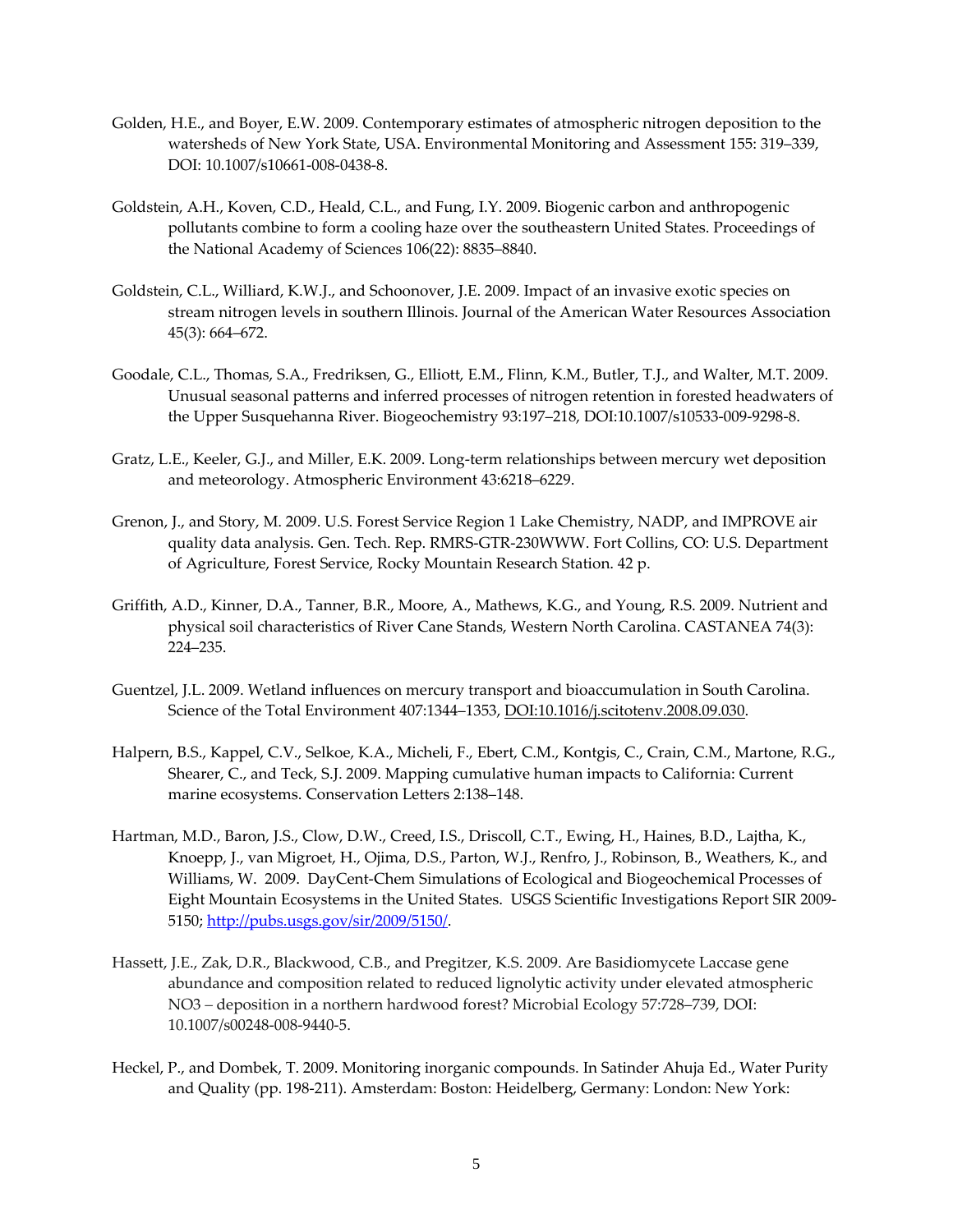- Golden, H.E., and Boyer, E.W. 2009. Contemporary estimates of atmospheric nitrogen deposition to the watersheds of New York State, USA. Environmental Monitoring and Assessment 155: 319–339, DOI: 10.1007/s10661‐008‐0438‐8.
- Goldstein, A.H., Koven, C.D., Heald, C.L., and Fung, I.Y. 2009. Biogenic carbon and anthropogenic pollutants combine to form a cooling haze over the southeastern United States. Proceedings of the National Academy of Sciences 106(22): 8835–8840.
- Goldstein, C.L., Williard, K.W.J., and Schoonover, J.E. 2009. Impact of an invasive exotic species on stream nitrogen levels in southern Illinois. Journal of the American Water Resources Association 45(3): 664–672.
- Goodale, C.L., Thomas, S.A., Fredriksen, G., Elliott, E.M., Flinn, K.M., Butler, T.J., and Walter, M.T. 2009. Unusual seasonal patterns and inferred processes of nitrogen retention in forested headwaters of the Upper Susquehanna River. Biogeochemistry 93:197-218, DOI:10.1007/s10533-009-9298-8.
- Gratz, L.E., Keeler, G.J., and Miller, E.K. 2009. Long‐term relationships between mercury wet deposition and meteorology. Atmospheric Environment 43:6218–6229.
- Grenon, J., and Story, M. 2009. U.S. Forest Service Region 1 Lake Chemistry, NADP, and IMPROVE air quality data analysis. Gen. Tech. Rep. RMRS‐GTR‐230WWW. Fort Collins, CO: U.S. Department of Agriculture, Forest Service, Rocky Mountain Research Station. 42 p.
- Griffith, A.D., Kinner, D.A., Tanner, B.R., Moore, A., Mathews, K.G., and Young, R.S. 2009. Nutrient and physical soil characteristics of River Cane Stands, Western North Carolina. CASTANEA 74(3): 224–235.
- Guentzel, J.L. 2009. Wetland influences on mercury transport and bioaccumulation in South Carolina. Science of the Total Environment 407:1344–1353, DOI:10.1016/j.scitotenv.2008.09.030.
- Halpern, B.S., Kappel, C.V., Selkoe, K.A., Micheli, F., Ebert, C.M., Kontgis, C., Crain, C.M., Martone, R.G., Shearer, C., and Teck, S.J. 2009. Mapping cumulative human impacts to California: Current marine ecosystems. Conservation Letters 2:138–148.
- Hartman, M.D., Baron, J.S., Clow, D.W., Creed, I.S., Driscoll, C.T., Ewing, H., Haines, B.D., Lajtha, K., Knoepp, J., van Migroet, H., Ojima, D.S., Parton, W.J., Renfro, J., Robinson, B., Weathers, K., and Williams, W. 2009. DayCent‐Chem Simulations of Ecological and Biogeochemical Processes of Eight Mountain Ecosystems in the United States. USGS Scientific Investigations Report SIR 2009‐ 5150; http://pubs.usgs.gov/sir/2009/5150/.
- Hassett, J.E., Zak, D.R., Blackwood, C.B., and Pregitzer, K.S. 2009. Are Basidiomycete Laccase gene abundance and composition related to reduced lignolytic activity under elevated atmospheric NO3 *–* deposition in a northern hardwood forest? Microbial Ecology 57:728–739, DOI: 10.1007/s00248‐008‐9440‐5.
- Heckel, P., and Dombek, T. 2009. Monitoring inorganic compounds. In Satinder Ahuja Ed., Water Purity and Quality (pp. 198‐211). Amsterdam: Boston: Heidelberg, Germany: London: New York: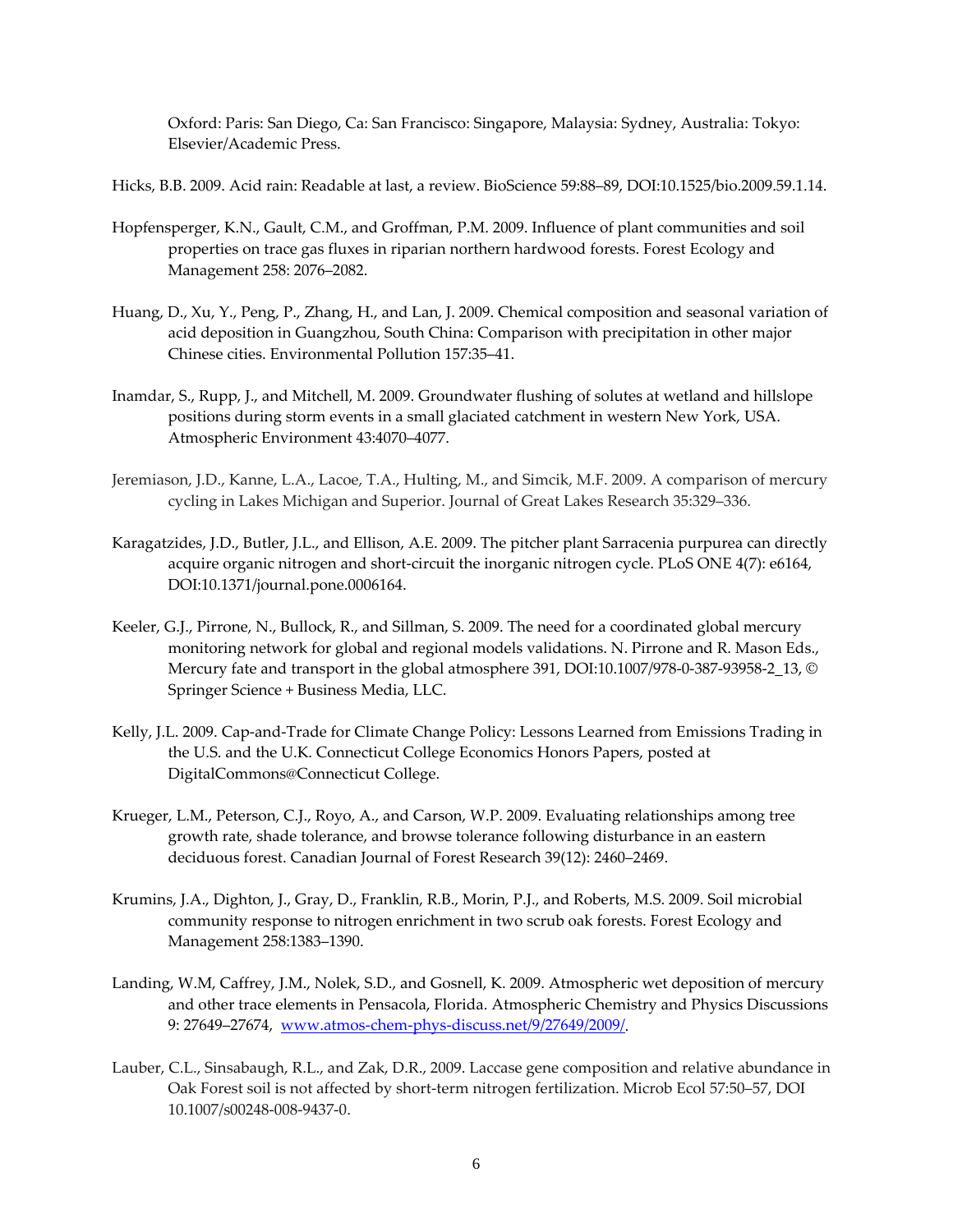Oxford: Paris: San Diego, Ca: San Francisco: Singapore, Malaysia: Sydney, Australia: Tokyo: Elsevier/Academic Press.

Hicks, B.B. 2009. Acid rain: Readable at last, a review. BioScience 59:88–89, DOI:10.1525/bio.2009.59.1.14.

- Hopfensperger, K.N., Gault, C.M., and Groffman, P.M. 2009. Influence of plant communities and soil properties on trace gas fluxes in riparian northern hardwood forests. Forest Ecology and Management 258: 2076–2082.
- Huang, D., Xu, Y., Peng, P., Zhang, H., and Lan, J. 2009. Chemical composition and seasonal variation of acid deposition in Guangzhou, South China: Comparison with precipitation in other major Chinese cities. Environmental Pollution 157:35–41.
- Inamdar, S., Rupp, J., and Mitchell, M. 2009. Groundwater flushing of solutes at wetland and hillslope positions during storm events in a small glaciated catchment in western New York, USA. Atmospheric Environment 43:4070–4077.
- Jeremiason, J.D., Kanne, L.A., Lacoe, T.A., Hulting, M., and Simcik, M.F. 2009. A comparison of mercury cycling in Lakes Michigan and Superior. Journal of Great Lakes Research 35:329–336.
- Karagatzides, J.D., Butler, J.L., and Ellison, A.E. 2009. The pitcher plant Sarracenia purpurea can directly acquire organic nitrogen and short-circuit the inorganic nitrogen cycle. PLoS ONE 4(7): e6164, DOI:10.1371/journal.pone.0006164.
- Keeler, G.J., Pirrone, N., Bullock, R., and Sillman, S. 2009. The need for a coordinated global mercury monitoring network for global and regional models validations. N. Pirrone and R. Mason Eds., Mercury fate and transport in the global atmosphere 391, DOI:10.1007/978‐0‐387‐93958‐2\_13, © Springer Science + Business Media, LLC.
- Kelly, J.L. 2009. Cap‐and‐Trade for Climate Change Policy: Lessons Learned from Emissions Trading in the U.S. and the U.K. Connecticut College Economics Honors Papers, posted at DigitalCommons@Connecticut College.
- Krueger, L.M., Peterson, C.J., Royo, A., and Carson, W.P. 2009. Evaluating relationships among tree growth rate, shade tolerance, and browse tolerance following disturbance in an eastern deciduous forest. Canadian Journal of Forest Research 39(12): 2460–2469.
- Krumins, J.A., Dighton, J., Gray, D., Franklin, R.B., Morin, P.J., and Roberts, M.S. 2009. Soil microbial community response to nitrogen enrichment in two scrub oak forests. Forest Ecology and Management 258:1383–1390.
- Landing, W.M, Caffrey, J.M., Nolek, S.D., and Gosnell, K. 2009. Atmospheric wet deposition of mercury and other trace elements in Pensacola, Florida. Atmospheric Chemistry and Physics Discussions 9: 27649-27674, www.atmos-chem-phys-discuss.net/9/27649/2009/.
- Lauber, C.L., Sinsabaugh, R.L., and Zak, D.R., 2009. Laccase gene composition and relative abundance in Oak Forest soil is not affected by short‐term nitrogen fertilization. Microb Ecol 57:50–57, DOI 10.1007/s00248‐008‐9437‐0.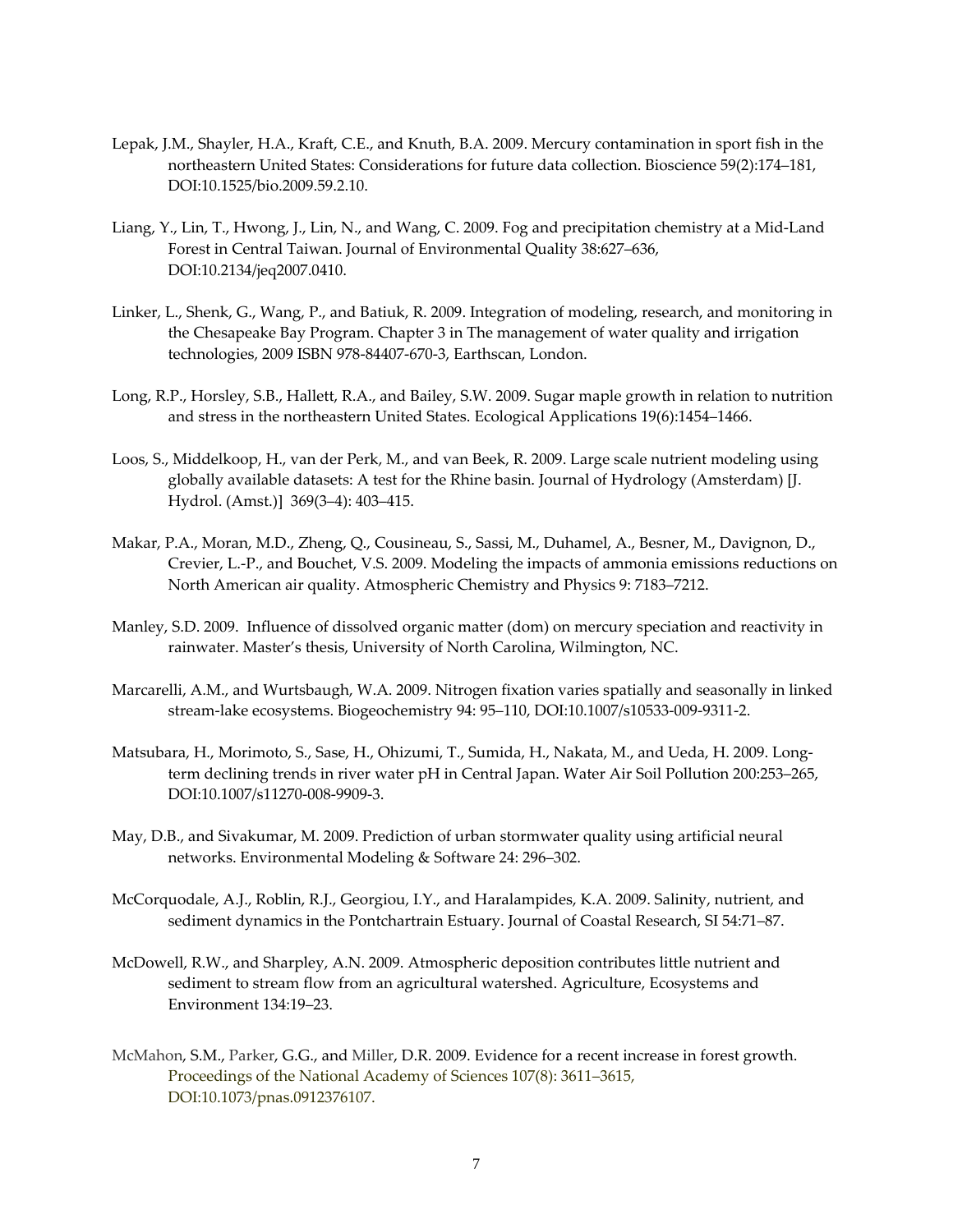- Lepak, J.M., Shayler, H.A., Kraft, C.E., and Knuth, B.A. 2009. Mercury contamination in sport fish in the northeastern United States: Considerations for future data collection. Bioscience 59(2):174–181, DOI:10.1525/bio.2009.59.2.10.
- Liang, Y., Lin, T., Hwong, J., Lin, N., and Wang, C. 2009. Fog and precipitation chemistry at a Mid‐Land Forest in Central Taiwan. Journal of Environmental Quality 38:627–636, DOI:10.2134/jeq2007.0410.
- Linker, L., Shenk, G., Wang, P., and Batiuk, R. 2009. Integration of modeling, research, and monitoring in the Chesapeake Bay Program. Chapter 3 in The management of water quality and irrigation technologies, 2009 ISBN 978‐84407‐670‐3, Earthscan, London.
- Long, R.P., Horsley, S.B., Hallett, R.A., and Bailey, S.W. 2009. Sugar maple growth in relation to nutrition and stress in the northeastern United States. Ecological Applications 19(6):1454–1466.
- Loos, S., Middelkoop, H., van der Perk, M., and van Beek, R. 2009. Large scale nutrient modeling using globally available datasets: A test for the Rhine basin. Journal of Hydrology (Amsterdam) [J. Hydrol. (Amst.)] 369(3–4): 403–415.
- Makar, P.A., Moran, M.D., Zheng, Q., Cousineau, S., Sassi, M., Duhamel, A., Besner, M., Davignon, D., Crevier, L.‐P., and Bouchet, V.S. 2009. Modeling the impacts of ammonia emissions reductions on North American air quality. Atmospheric Chemistry and Physics 9: 7183–7212.
- Manley, S.D. 2009. Influence of dissolved organic matter (dom) on mercury speciation and reactivity in rainwater. Master's thesis, University of North Carolina, Wilmington, NC.
- Marcarelli, A.M., and Wurtsbaugh, W.A. 2009. Nitrogen fixation varies spatially and seasonally in linked stream‐lake ecosystems. Biogeochemistry 94: 95–110, DOI:10.1007/s10533‐009‐9311‐2.
- Matsubara, H., Morimoto, S., Sase, H., Ohizumi, T., Sumida, H., Nakata, M., and Ueda, H. 2009. Long‐ term declining trends in river water pH in Central Japan. Water Air Soil Pollution 200:253–265, DOI:10.1007/s11270‐008‐9909‐3.
- May, D.B., and Sivakumar, M. 2009. Prediction of urban stormwater quality using artificial neural networks. Environmental Modeling & Software 24: 296–302.
- McCorquodale, A.J., Roblin, R.J., Georgiou, I.Y., and Haralampides, K.A. 2009. Salinity, nutrient, and sediment dynamics in the Pontchartrain Estuary. Journal of Coastal Research, SI 54:71–87.
- McDowell, R.W., and Sharpley, A.N. 2009. Atmospheric deposition contributes little nutrient and sediment to stream flow from an agricultural watershed. Agriculture, Ecosystems and Environment 134:19–23.
- McMahon, S.M., Parker, G.G., and Miller, D.R. 2009. Evidence for a recent increase in forest growth. Proceedings of the National Academy of Sciences 107(8): 3611–3615, DOI:10.1073/pnas.0912376107.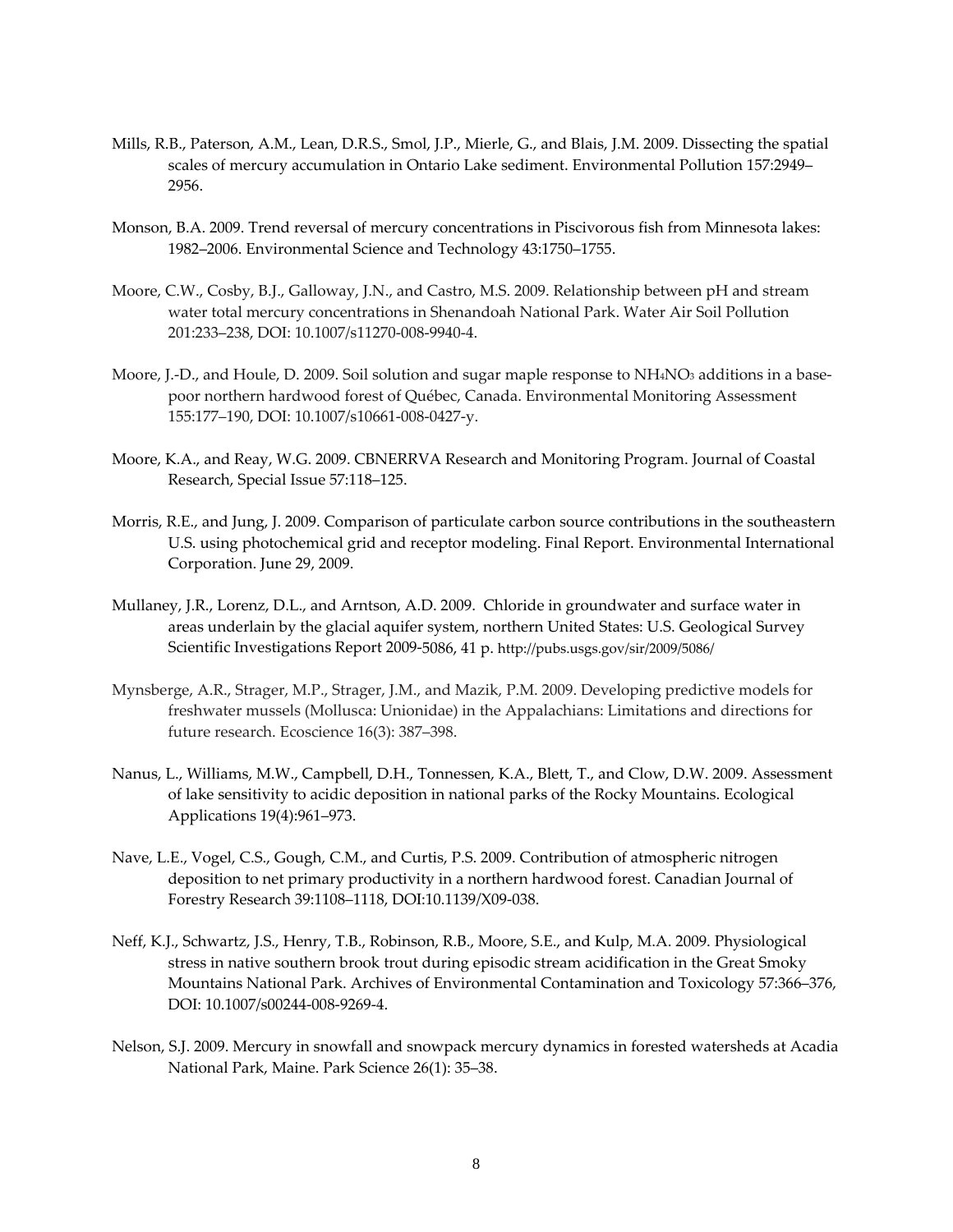- Mills, R.B., Paterson, A.M., Lean, D.R.S., Smol, J.P., Mierle, G., and Blais, J.M. 2009. Dissecting the spatial scales of mercury accumulation in Ontario Lake sediment. Environmental Pollution 157:2949– 2956.
- Monson, B.A. 2009. Trend reversal of mercury concentrations in Piscivorous fish from Minnesota lakes: 1982–2006. Environmental Science and Technology 43:1750–1755.
- Moore, C.W., Cosby, B.J., Galloway, J.N., and Castro, M.S. 2009. Relationship between pH and stream water total mercury concentrations in Shenandoah National Park. Water Air Soil Pollution 201:233–238, DOI: 10.1007/s11270‐008‐9940‐4.
- Moore, J.-D., and Houle, D. 2009. Soil solution and sugar maple response to NH4NO<sub>3</sub> additions in a basepoor northern hardwood forest of Québec, Canada. Environmental Monitoring Assessment 155:177–190, DOI: 10.1007/s10661‐008‐0427‐y.
- Moore, K.A., and Reay, W.G. 2009. CBNERRVA Research and Monitoring Program. Journal of Coastal Research, Special Issue 57:118–125.
- Morris, R.E., and Jung, J. 2009. Comparison of particulate carbon source contributions in the southeastern U.S. using photochemical grid and receptor modeling. Final Report. Environmental International Corporation. June 29, 2009.
- Mullaney, J.R., Lorenz, D.L., and Arntson, A.D. 2009. Chloride in groundwater and surface water in areas underlain by the glacial aquifer system, northern United States: U.S. Geological Survey Scientific Investigations Report 2009‐5086, 41 p. http://pubs.usgs.gov/sir/2009/5086/
- Mynsberge, A.R., Strager, M.P., Strager, J.M., and Mazik, P.M. 2009. Developing predictive models for freshwater mussels (Mollusca: Unionidae) in the Appalachians: Limitations and directions for future research. Ecoscience 16(3): 387–398.
- Nanus, L., Williams, M.W., Campbell, D.H., Tonnessen, K.A., Blett, T., and Clow, D.W. 2009. Assessment of lake sensitivity to acidic deposition in national parks of the Rocky Mountains. Ecological Applications 19(4):961–973.
- Nave, L.E., Vogel, C.S., Gough, C.M., and Curtis, P.S. 2009. Contribution of atmospheric nitrogen deposition to net primary productivity in a northern hardwood forest. Canadian Journal of Forestry Research 39:1108–1118, DOI:10.1139/X09‐038.
- Neff, K.J., Schwartz, J.S., Henry, T.B., Robinson, R.B., Moore, S.E., and Kulp, M.A. 2009. Physiological stress in native southern brook trout during episodic stream acidification in the Great Smoky Mountains National Park. Archives of Environmental Contamination and Toxicology 57:366–376, DOI: 10.1007/s00244‐008‐9269‐4.
- Nelson, S.J. 2009. Mercury in snowfall and snowpack mercury dynamics in forested watersheds at Acadia National Park, Maine. Park Science 26(1): 35–38.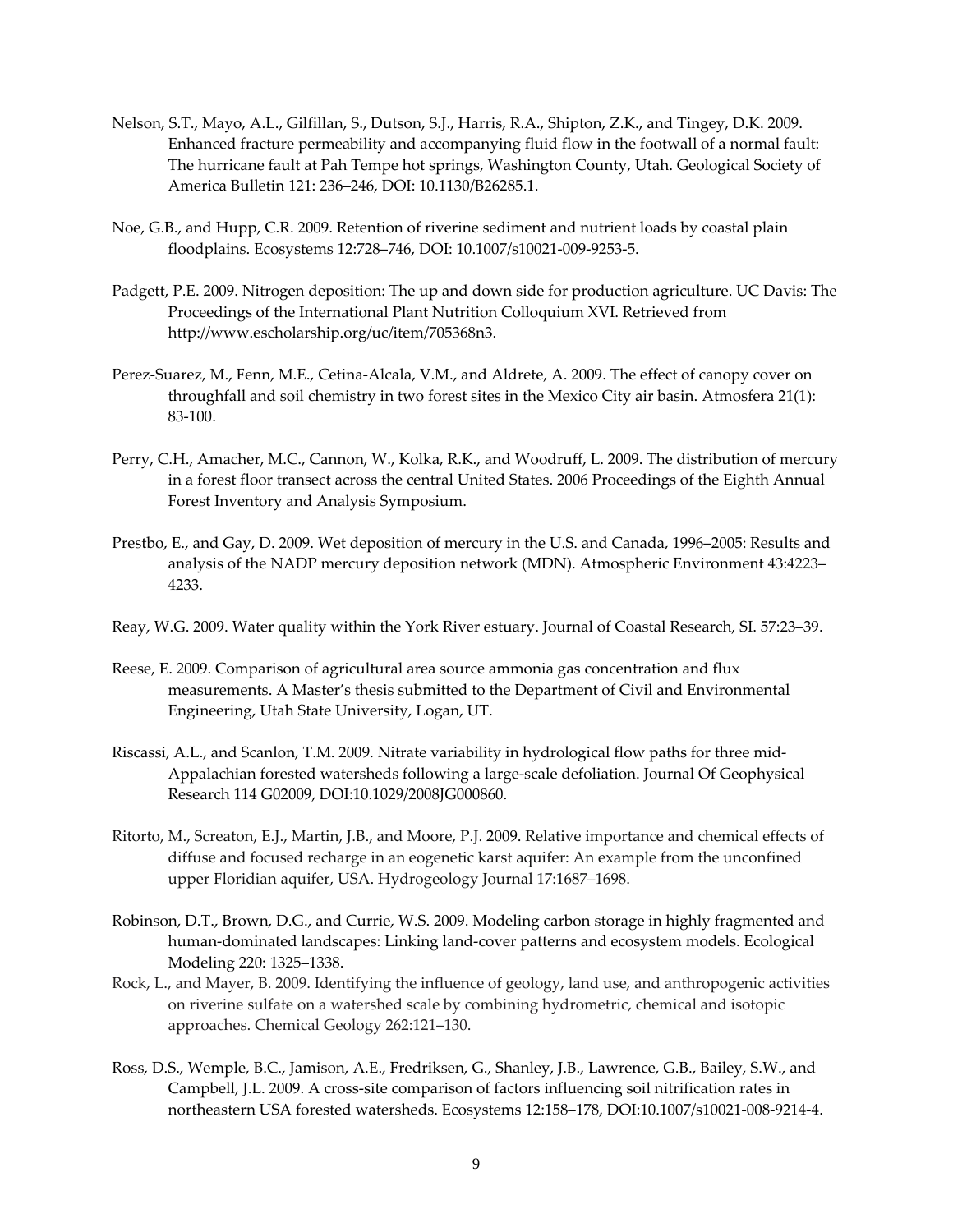- Nelson, S.T., Mayo, A.L., Gilfillan, S., Dutson, S.J., Harris, R.A., Shipton, Z.K., and Tingey, D.K. 2009. Enhanced fracture permeability and accompanying fluid flow in the footwall of a normal fault: The hurricane fault at Pah Tempe hot springs, Washington County, Utah. Geological Society of America Bulletin 121: 236–246, DOI: 10.1130/B26285.1.
- Noe, G.B., and Hupp, C.R. 2009. Retention of riverine sediment and nutrient loads by coastal plain floodplains. Ecosystems 12:728–746, DOI: 10.1007/s10021‐009‐9253‐5.
- Padgett, P.E. 2009. Nitrogen deposition: The up and down side for production agriculture. UC Davis: The Proceedings of the International Plant Nutrition Colloquium XVI. Retrieved from http://www.escholarship.org/uc/item/705368n3.
- Perez‐Suarez, M., Fenn, M.E., Cetina‐Alcala, V.M., and Aldrete, A. 2009. The effect of canopy cover on throughfall and soil chemistry in two forest sites in the Mexico City air basin. Atmosfera 21(1): 83‐100.
- Perry, C.H., Amacher, M.C., Cannon, W., Kolka, R.K., and Woodruff, L. 2009. The distribution of mercury in a forest floor transect across the central United States. 2006 Proceedings of the Eighth Annual Forest Inventory and Analysis Symposium.
- Prestbo, E., and Gay, D. 2009. Wet deposition of mercury in the U.S. and Canada, 1996–2005: Results and analysis of the NADP mercury deposition network (MDN). Atmospheric Environment 43:4223– 4233.
- Reay, W.G. 2009. Water quality within the York River estuary. Journal of Coastal Research, SI. 57:23–39.
- Reese, E. 2009. Comparison of agricultural area source ammonia gas concentration and flux measurements. A Master's thesis submitted to the Department of Civil and Environmental Engineering, Utah State University, Logan, UT.
- Riscassi, A.L., and Scanlon, T.M. 2009. Nitrate variability in hydrological flow paths for three mid‐ Appalachian forested watersheds following a large‐scale defoliation. Journal Of Geophysical Research 114 G02009, DOI:10.1029/2008JG000860.
- Ritorto, M., Screaton, E.J., Martin, J.B., and Moore, P.J. 2009. Relative importance and chemical effects of diffuse and focused recharge in an eogenetic karst aquifer: An example from the unconfined upper Floridian aquifer, USA. Hydrogeology Journal 17:1687–1698.
- Robinson, D.T., Brown, D.G., and Currie, W.S. 2009. Modeling carbon storage in highly fragmented and human‐dominated landscapes: Linking land‐cover patterns and ecosystem models. Ecological Modeling 220: 1325–1338.
- Rock, L., and Mayer, B. 2009. Identifying the influence of geology, land use, and anthropogenic activities on riverine sulfate on a watershed scale by combining hydrometric, chemical and isotopic approaches. Chemical Geology 262:121–130.
- Ross, D.S., Wemple, B.C., Jamison, A.E., Fredriksen, G., Shanley, J.B., Lawrence, G.B., Bailey, S.W., and Campbell, J.L. 2009. A cross‐site comparison of factors influencing soil nitrification rates in northeastern USA forested watersheds. Ecosystems 12:158–178, DOI:10.1007/s10021‐008‐9214‐4.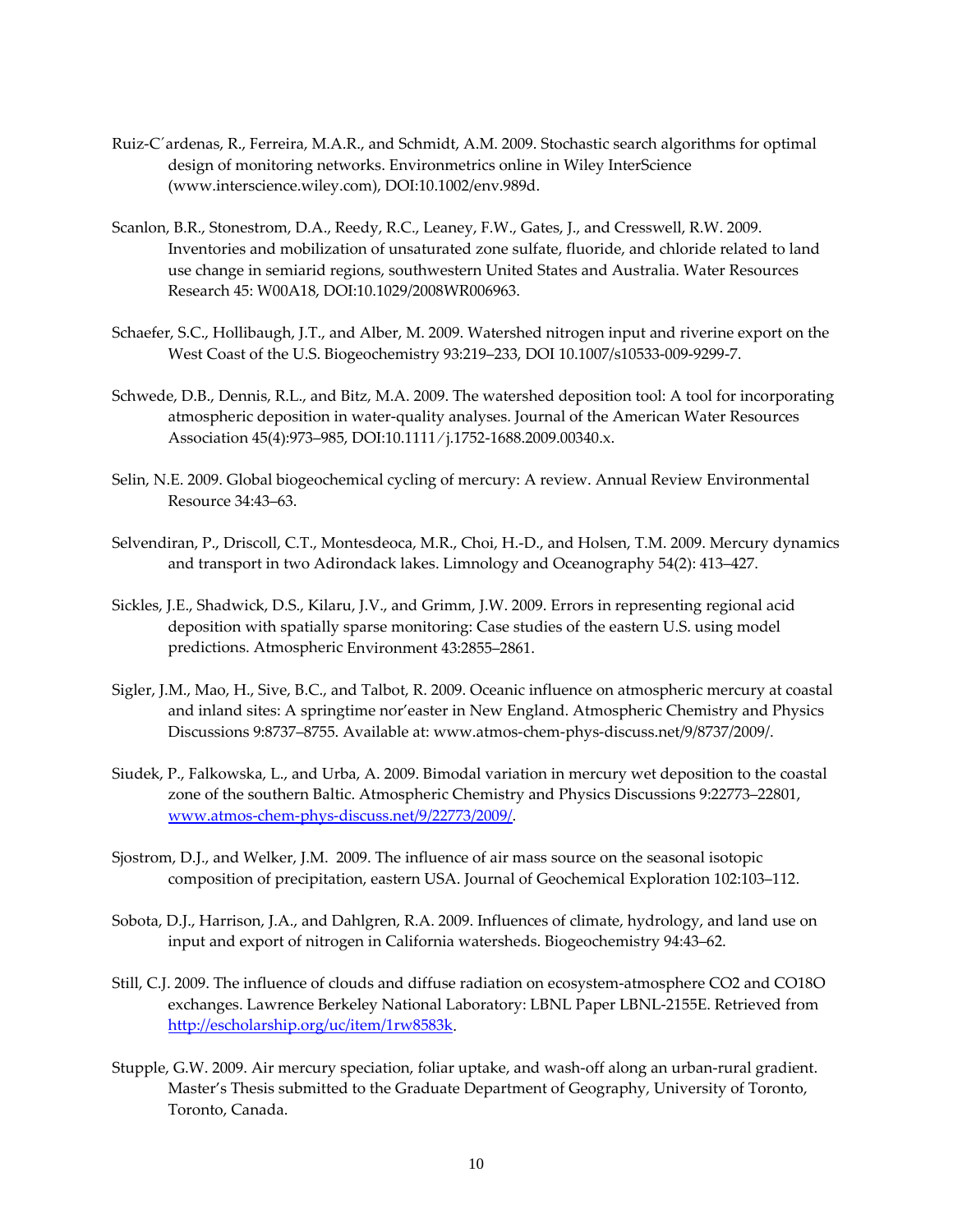- Ruiz‐C´ardenas, R., Ferreira, M.A.R., and Schmidt, A.M. 2009. Stochastic search algorithms for optimal design of monitoring networks. Environmetrics online in Wiley InterScience (www.interscience.wiley.com), DOI:10.1002/env.989d.
- Scanlon, B.R., Stonestrom, D.A., Reedy, R.C., Leaney, F.W., Gates, J., and Cresswell, R.W. 2009. Inventories and mobilization of unsaturated zone sulfate, fluoride, and chloride related to land use change in semiarid regions, southwestern United States and Australia. Water Resources Research 45: W00A18, DOI:10.1029/2008WR006963.
- Schaefer, S.C., Hollibaugh, J.T., and Alber, M. 2009. Watershed nitrogen input and riverine export on the West Coast of the U.S. Biogeochemistry 93:219–233, DOI 10.1007/s10533‐009‐9299‐7.
- Schwede, D.B., Dennis, R.L., and Bitz, M.A. 2009. The watershed deposition tool: A tool for incorporating atmospheric deposition in water‐quality analyses. Journal of the American Water Resources Association 45(4):973–985, DOI:10.1111 ⁄ j.1752‐1688.2009.00340.x.
- Selin, N.E. 2009. Global biogeochemical cycling of mercury: A review. Annual Review Environmental Resource 34:43–63.
- Selvendiran, P., Driscoll, C.T., Montesdeoca, M.R., Choi, H.‐D., and Holsen, T.M. 2009. Mercury dynamics and transport in two Adirondack lakes. Limnology and Oceanography 54(2): 413–427.
- Sickles, J.E., Shadwick, D.S., Kilaru, J.V., and Grimm, J.W. 2009. Errors in representing regional acid deposition with spatially sparse monitoring: Case studies of the eastern U.S. using model predictions. Atmospheric Environment 43:2855–2861.
- Sigler, J.M., Mao, H., Sive, B.C., and Talbot, R. 2009. Oceanic influence on atmospheric mercury at coastal and inland sites: A springtime nor'easter in New England. Atmospheric Chemistry and Physics Discussions 9:8737–8755. Available at: www.atmos‐chem‐phys‐discuss.net/9/8737/2009/.
- Siudek, P., Falkowska, L., and Urba, A. 2009. Bimodal variation in mercury wet deposition to the coastal zone of the southern Baltic. Atmospheric Chemistry and Physics Discussions 9:22773–22801, www.atmos‐chem‐phys‐discuss.net/9/22773/2009/.
- Sjostrom, D.J., and Welker, J.M. 2009. The influence of air mass source on the seasonal isotopic composition of precipitation, eastern USA. Journal of Geochemical Exploration 102:103–112.
- Sobota, D.J., Harrison, J.A., and Dahlgren, R.A. 2009. Influences of climate, hydrology, and land use on input and export of nitrogen in California watersheds. Biogeochemistry 94:43–62.
- Still, C.J. 2009. The influence of clouds and diffuse radiation on ecosystem-atmosphere CO2 and CO18O exchanges. Lawrence Berkeley National Laboratory: LBNL Paper LBNL‐2155E. Retrieved from http://escholarship.org/uc/item/1rw8583k.
- Stupple, G.W. 2009. Air mercury speciation, foliar uptake, and wash-off along an urban-rural gradient. Master's Thesis submitted to the Graduate Department of Geography, University of Toronto, Toronto, Canada.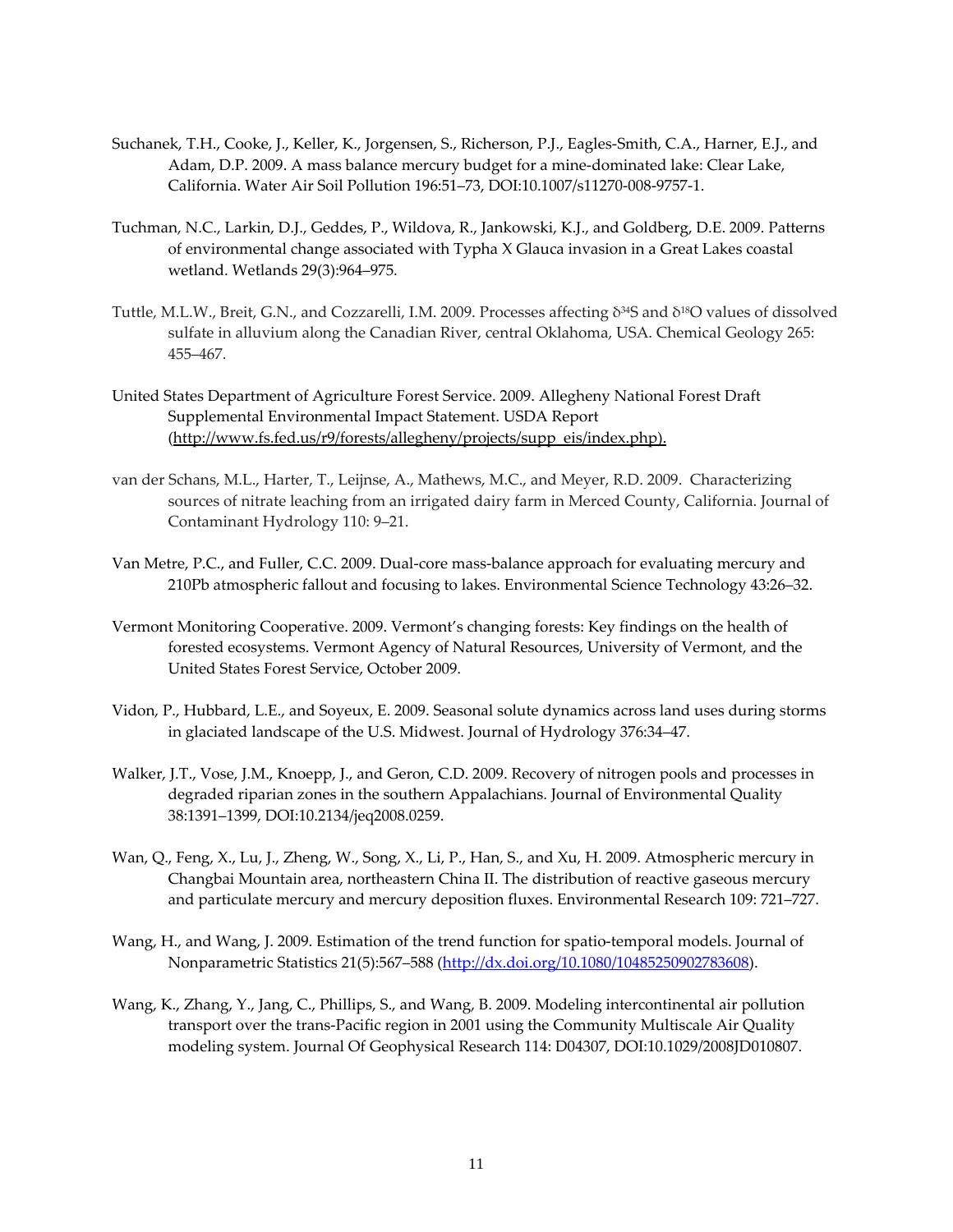- Suchanek, T.H., Cooke, J., Keller, K., Jorgensen, S., Richerson, P.J., Eagles‐Smith, C.A., Harner, E.J., and Adam, D.P. 2009. A mass balance mercury budget for a mine‐dominated lake: Clear Lake, California. Water Air Soil Pollution 196:51–73, DOI:10.1007/s11270‐008‐9757‐1.
- Tuchman, N.C., Larkin, D.J., Geddes, P., Wildova, R., Jankowski, K.J., and Goldberg, D.E. 2009. Patterns of environmental change associated with Typha X Glauca invasion in a Great Lakes coastal wetland. Wetlands 29(3):964–975.
- Tuttle, M.L.W., Breit, G.N., and Cozzarelli, I.M. 2009. Processes affecting δ34S and δ18O values of dissolved sulfate in alluvium along the Canadian River, central Oklahoma, USA. Chemical Geology 265: 455–467.
- United States Department of Agriculture Forest Service. 2009. Allegheny National Forest Draft Supplemental Environmental Impact Statement. USDA Report (http://www.fs.fed.us/r9/forests/allegheny/projects/supp\_eis/index.php).
- van der Schans, M.L., Harter, T., Leijnse, A., Mathews, M.C., and Meyer, R.D. 2009. Characterizing sources of nitrate leaching from an irrigated dairy farm in Merced County, California. Journal of Contaminant Hydrology 110: 9–21.
- Van Metre, P.C., and Fuller, C.C. 2009. Dual‐core mass‐balance approach for evaluating mercury and 210Pb atmospheric fallout and focusing to lakes. Environmental Science Technology 43:26–32.
- Vermont Monitoring Cooperative. 2009. Vermont's changing forests: Key findings on the health of forested ecosystems. Vermont Agency of Natural Resources, University of Vermont, and the United States Forest Service, October 2009.
- Vidon, P., Hubbard, L.E., and Soyeux, E. 2009. Seasonal solute dynamics across land uses during storms in glaciated landscape of the U.S. Midwest. Journal of Hydrology 376:34–47.
- Walker, J.T., Vose, J.M., Knoepp, J., and Geron, C.D. 2009. Recovery of nitrogen pools and processes in degraded riparian zones in the southern Appalachians. Journal of Environmental Quality 38:1391–1399, DOI:10.2134/jeq2008.0259.
- Wan, Q., Feng, X., Lu, J., Zheng, W., Song, X., Li, P., Han, S., and Xu, H. 2009. Atmospheric mercury in Changbai Mountain area, northeastern China II. The distribution of reactive gaseous mercury and particulate mercury and mercury deposition fluxes. Environmental Research 109: 721–727.
- Wang, H., and Wang, J. 2009. Estimation of the trend function for spatio-temporal models. Journal of Nonparametric Statistics 21(5):567-588 (http://dx.doi.org/10.1080/10485250902783608).
- Wang, K., Zhang, Y., Jang, C., Phillips, S., and Wang, B. 2009. Modeling intercontinental air pollution transport over the trans‐Pacific region in 2001 using the Community Multiscale Air Quality modeling system. Journal Of Geophysical Research 114: D04307, DOI:10.1029/2008JD010807.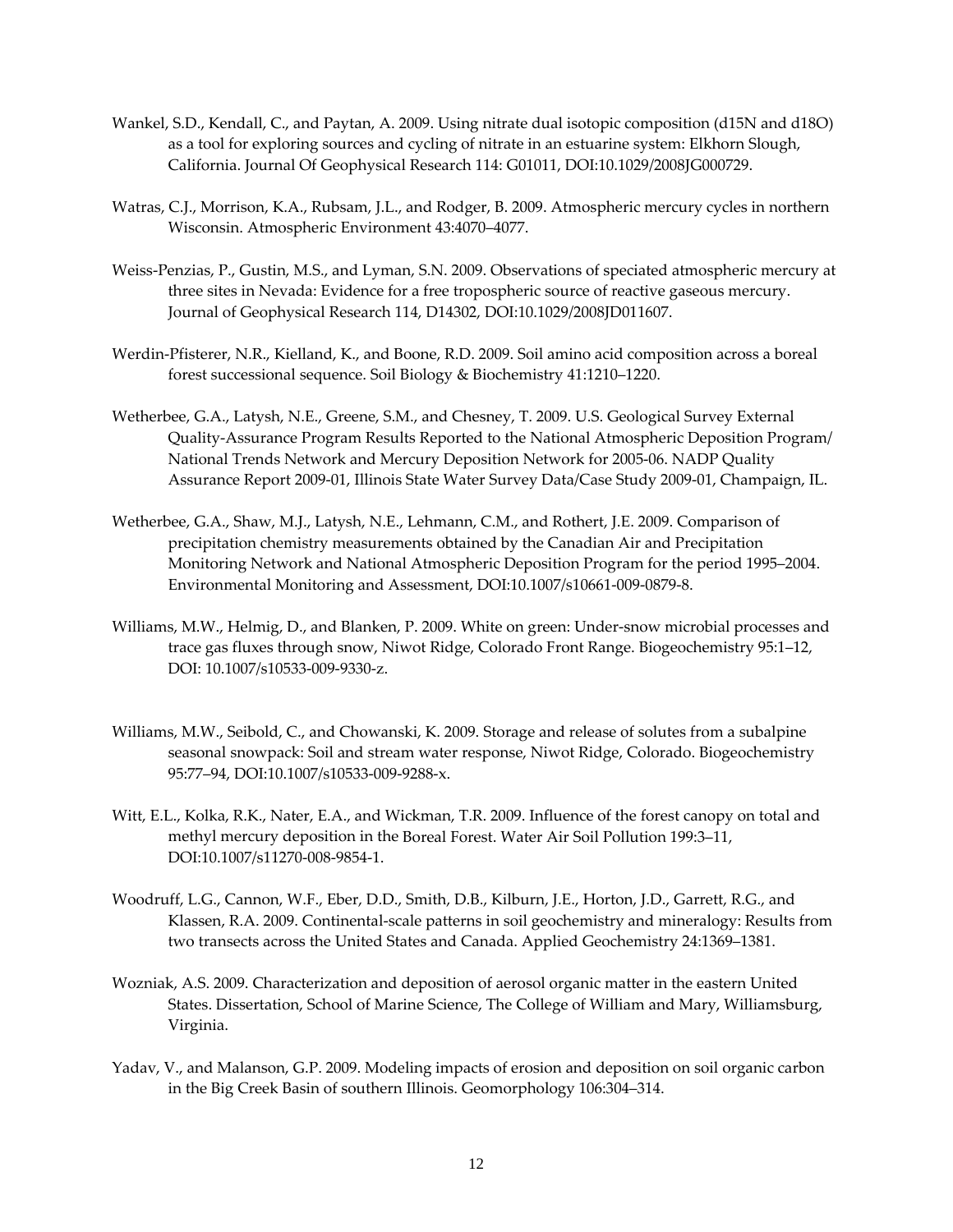- Wankel, S.D., Kendall, C., and Paytan, A. 2009. Using nitrate dual isotopic composition (d15N and d18O) as a tool for exploring sources and cycling of nitrate in an estuarine system: Elkhorn Slough, California. Journal Of Geophysical Research 114: G01011, DOI:10.1029/2008JG000729.
- Watras, C.J., Morrison, K.A., Rubsam, J.L., and Rodger, B. 2009. Atmospheric mercury cycles in northern Wisconsin. Atmospheric Environment 43:4070–4077.
- Weiss‐Penzias, P., Gustin, M.S., and Lyman, S.N. 2009. Observations of speciated atmospheric mercury at three sites in Nevada: Evidence for a free tropospheric source of reactive gaseous mercury. Journal of Geophysical Research 114, D14302, DOI:10.1029/2008JD011607.
- Werdin‐Pfisterer, N.R., Kielland, K., and Boone, R.D. 2009. Soil amino acid composition across a boreal forest successional sequence. Soil Biology & Biochemistry 41:1210–1220.
- Wetherbee, G.A., Latysh, N.E., Greene, S.M., and Chesney, T. 2009. U.S. Geological Survey External Quality‐Assurance Program Results Reported to the National Atmospheric Deposition Program/ National Trends Network and Mercury Deposition Network for 2005‐06. NADP Quality Assurance Report 2009‐01, Illinois State Water Survey Data/Case Study 2009‐01, Champaign, IL.
- Wetherbee, G.A., Shaw, M.J., Latysh, N.E., Lehmann, C.M., and Rothert, J.E. 2009. Comparison of precipitation chemistry measurements obtained by the Canadian Air and Precipitation Monitoring Network and National Atmospheric Deposition Program for the period 1995–2004. Environmental Monitoring and Assessment, DOI:10.1007/s10661‐009‐0879‐8.
- Williams, M.W., Helmig, D., and Blanken, P. 2009. White on green: Under‐snow microbial processes and trace gas fluxes through snow, Niwot Ridge, Colorado Front Range. Biogeochemistry 95:1–12, DOI: 10.1007/s10533‐009‐9330‐z.
- Williams, M.W., Seibold, C., and Chowanski, K. 2009. Storage and release of solutes from a subalpine seasonal snowpack: Soil and stream water response, Niwot Ridge, Colorado. Biogeochemistry 95:77–94, DOI:10.1007/s10533‐009‐9288‐x.
- Witt, E.L., Kolka, R.K., Nater, E.A., and Wickman, T.R. 2009. Influence of the forest canopy on total and methyl mercury deposition in the Boreal Forest. Water Air Soil Pollution 199:3–11, DOI:10.1007/s11270‐008‐9854‐1.
- Woodruff, L.G., Cannon, W.F., Eber, D.D., Smith, D.B., Kilburn, J.E., Horton, J.D., Garrett, R.G., and Klassen, R.A. 2009. Continental‐scale patterns in soil geochemistry and mineralogy: Results from two transects across the United States and Canada. Applied Geochemistry 24:1369–1381.
- Wozniak, A.S. 2009. Characterization and deposition of aerosol organic matter in the eastern United States. Dissertation, School of Marine Science, The College of William and Mary, Williamsburg, Virginia.
- Yadav, V., and Malanson, G.P. 2009. Modeling impacts of erosion and deposition on soil organic carbon in the Big Creek Basin of southern Illinois. Geomorphology 106:304–314.